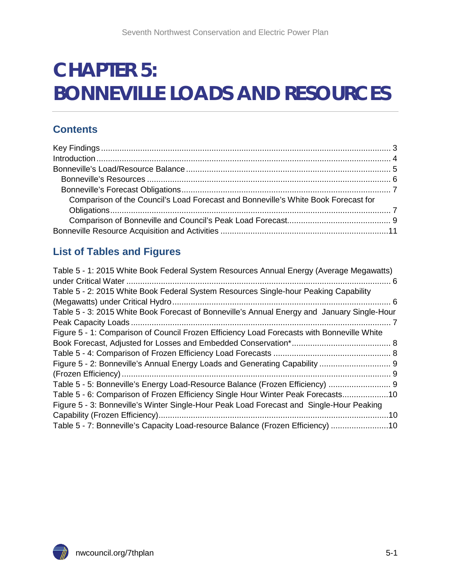# **CHAPTER 5: BONNEVILLE LOADS AND RESOURCES**

### **Contents**

| Comparison of the Council's Load Forecast and Bonneville's White Book Forecast for |  |
|------------------------------------------------------------------------------------|--|
|                                                                                    |  |
|                                                                                    |  |
|                                                                                    |  |

### **List of Tables and Figures**

| Table 5 - 1: 2015 White Book Federal System Resources Annual Energy (Average Megawatts)     |  |
|---------------------------------------------------------------------------------------------|--|
|                                                                                             |  |
| Table 5 - 2: 2015 White Book Federal System Resources Single-hour Peaking Capability        |  |
|                                                                                             |  |
| Table 5 - 3: 2015 White Book Forecast of Bonneville's Annual Energy and January Single-Hour |  |
|                                                                                             |  |
| Figure 5 - 1: Comparison of Council Frozen Efficiency Load Forecasts with Bonneville White  |  |
|                                                                                             |  |
|                                                                                             |  |
|                                                                                             |  |
|                                                                                             |  |
| Table 5 - 5: Bonneville's Energy Load-Resource Balance (Frozen Efficiency)  9               |  |
| Table 5 - 6: Comparison of Frozen Efficiency Single Hour Winter Peak Forecasts10            |  |
| Figure 5 - 3: Bonneville's Winter Single-Hour Peak Load Forecast and Single-Hour Peaking    |  |
|                                                                                             |  |
| Table 5 - 7: Bonneville's Capacity Load-resource Balance (Frozen Efficiency) 10             |  |

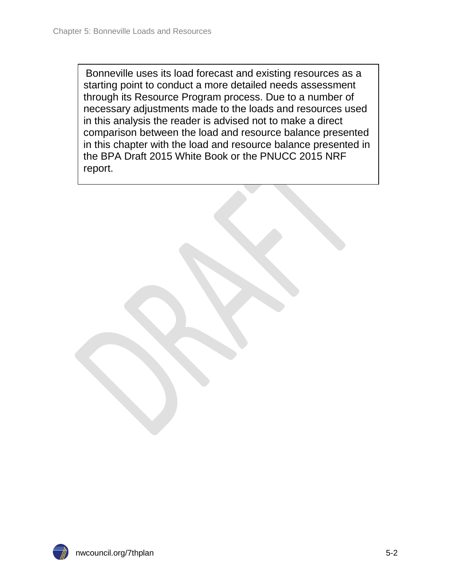Bonneville uses its load forecast and existing resources as a starting point to conduct a more detailed needs assessment through its Resource Program process. Due to a number of necessary adjustments made to the loads and resources used in this analysis the reader is advised not to make a direct comparison between the load and resource balance presented in this chapter with the load and resource balance presented in the BPA Draft 2015 White Book or the PNUCC 2015 NRF report.

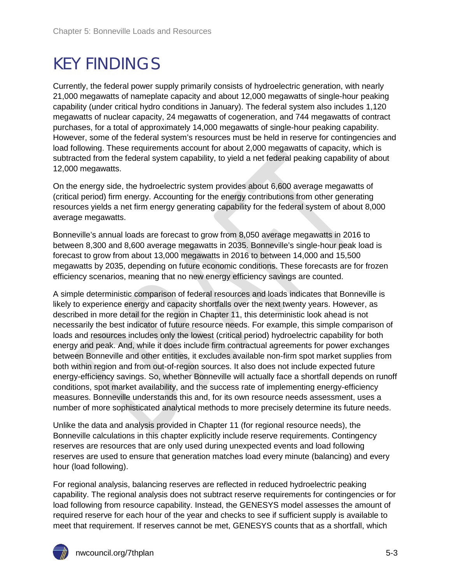## <span id="page-2-0"></span>KEY FINDINGS

Currently, the federal power supply primarily consists of hydroelectric generation, with nearly 21,000 megawatts of nameplate capacity and about 12,000 megawatts of single-hour peaking capability (under critical hydro conditions in January). The federal system also includes 1,120 megawatts of nuclear capacity, 24 megawatts of cogeneration, and 744 megawatts of contract purchases, for a total of approximately 14,000 megawatts of single-hour peaking capability. However, some of the federal system's resources must be held in reserve for contingencies and load following. These requirements account for about 2,000 megawatts of capacity, which is subtracted from the federal system capability, to yield a net federal peaking capability of about 12,000 megawatts.

On the energy side, the hydroelectric system provides about 6,600 average megawatts of (critical period) firm energy. Accounting for the energy contributions from other generating resources yields a net firm energy generating capability for the federal system of about 8,000 average megawatts.

Bonneville's annual loads are forecast to grow from 8,050 average megawatts in 2016 to between 8,300 and 8,600 average megawatts in 2035. Bonneville's single-hour peak load is forecast to grow from about 13,000 megawatts in 2016 to between 14,000 and 15,500 megawatts by 2035, depending on future economic conditions. These forecasts are for frozen efficiency scenarios, meaning that no new energy efficiency savings are counted.

A simple deterministic comparison of federal resources and loads indicates that Bonneville is likely to experience energy and capacity shortfalls over the next twenty years. However, as described in more detail for the region in Chapter 11, this deterministic look ahead is not necessarily the best indicator of future resource needs. For example, this simple comparison of loads and resources includes only the lowest (critical period) hydroelectric capability for both energy and peak. And, while it does include firm contractual agreements for power exchanges between Bonneville and other entities, it excludes available non-firm spot market supplies from both within region and from out-of-region sources. It also does not include expected future energy-efficiency savings. So, whether Bonneville will actually face a shortfall depends on runoff conditions, spot market availability, and the success rate of implementing energy-efficiency measures. Bonneville understands this and, for its own resource needs assessment, uses a number of more sophisticated analytical methods to more precisely determine its future needs.

Unlike the data and analysis provided in Chapter 11 (for regional resource needs), the Bonneville calculations in this chapter explicitly include reserve requirements. Contingency reserves are resources that are only used during unexpected events and load following reserves are used to ensure that generation matches load every minute (balancing) and every hour (load following).

For regional analysis, balancing reserves are reflected in reduced hydroelectric peaking capability. The regional analysis does not subtract reserve requirements for contingencies or for load following from resource capability. Instead, the GENESYS model assesses the amount of required reserve for each hour of the year and checks to see if sufficient supply is available to meet that requirement. If reserves cannot be met, GENESYS counts that as a shortfall, which

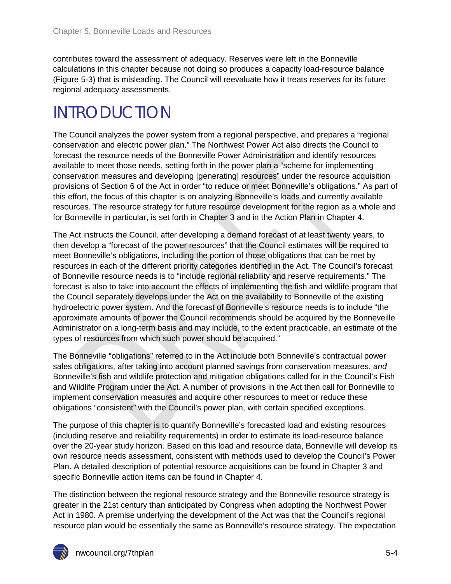contributes toward the assessment of adequacy. Reserves were left in the Bonneville calculations in this chapter because not doing so produces a capacity load-resource balance (Figure 5-3) that is misleading. The Council will reevaluate how it treats reserves for its future regional adequacy assessments.

## <span id="page-3-0"></span>INTRODUCTION

The Council analyzes the power system from a regional perspective, and prepares a "regional conservation and electric power plan." The Northwest Power Act also directs the Council to forecast the resource needs of the Bonneville Power Administration and identify resources available to meet those needs, setting forth in the power plan a "scheme for implementing conservation measures and developing [generating] resources" under the resource acquisition provisions of Section 6 of the Act in order "to reduce or meet Bonneville's obligations." As part of this effort, the focus of this chapter is on analyzing Bonneville's loads and currently available resources. The resource strategy for future resource development for the region as a whole and for Bonneville in particular, is set forth in Chapter 3 and in the Action Plan in Chapter 4.

The Act instructs the Council, after developing a demand forecast of at least twenty years, to then develop a "forecast of the power resources" that the Council estimates will be required to meet Bonneville's obligations, including the portion of those obligations that can be met by resources in each of the different priority categories identified in the Act. The Council's forecast of Bonneville resource needs is to "include regional reliability and reserve requirements." The forecast is also to take into account the effects of implementing the fish and wildlife program that the Council separately develops under the Act on the availability to Bonneville of the existing hydroelectric power system. And the forecast of Bonneville's resource needs is to include "the approximate amounts of power the Council recommends should be acquired by the Bonneveille Administrator on a long-term basis and may include, to the extent practicable, an estimate of the types of resources from which such power should be acquired."

The Bonneville "obligations" referred to in the Act include both Bonneville's contractual power sales obligations, after taking into account planned savings from conservation measures, *and* Bonneville's fish and wildlife protection and mitigation obligations called for in the Council's Fish and Wildlife Program under the Act. A number of provisions in the Act then call for Bonneville to implement conservation measures and acquire other resources to meet or reduce these obligations "consistent" with the Council's power plan, with certain specified exceptions.

The purpose of this chapter is to quantify Bonneville's forecasted load and existing resources (including reserve and reliability requirements) in order to estimate its load-resource balance over the 20-year study horizon. Based on this load and resource data, Bonneville will develop its own resource needs assessment, consistent with methods used to develop the Council's Power Plan. A detailed description of potential resource acquisitions can be found in Chapter 3 and specific Bonneville action items can be found in Chapter 4.

The distinction between the regional resource strategy and the Bonneville resource strategy is greater in the 21st century than anticipated by Congress when adopting the Northwest Power Act in 1980. A premise underlying the development of the Act was that the Council's regional resource plan would be essentially the same as Bonneville's resource strategy. The expectation

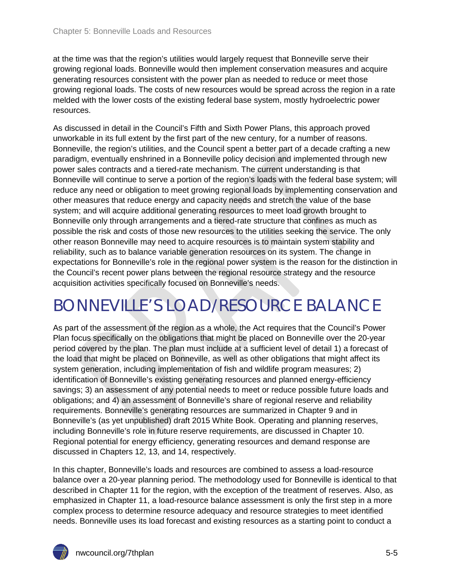at the time was that the region's utilities would largely request that Bonneville serve their growing regional loads. Bonneville would then implement conservation measures and acquire generating resources consistent with the power plan as needed to reduce or meet those growing regional loads. The costs of new resources would be spread across the region in a rate melded with the lower costs of the existing federal base system, mostly hydroelectric power resources.

As discussed in detail in the Council's Fifth and Sixth Power Plans, this approach proved unworkable in its full extent by the first part of the new century, for a number of reasons. Bonneville, the region's utilities, and the Council spent a better part of a decade crafting a new paradigm, eventually enshrined in a Bonneville policy decision and implemented through new power sales contracts and a tiered-rate mechanism. The current understanding is that Bonneville will continue to serve a portion of the region's loads with the federal base system; will reduce any need or obligation to meet growing regional loads by implementing conservation and other measures that reduce energy and capacity needs and stretch the value of the base system; and will acquire additional generating resources to meet load growth brought to Bonneville only through arrangements and a tiered-rate structure that confines as much as possible the risk and costs of those new resources to the utilities seeking the service. The only other reason Bonneville may need to acquire resources is to maintain system stability and reliability, such as to balance variable generation resources on its system. The change in expectations for Bonneville's role in the regional power system is the reason for the distinction in the Council's recent power plans between the regional resource strategy and the resource acquisition activities specifically focused on Bonneville's needs.

## <span id="page-4-0"></span>BONNEVILLE'S LOAD/RESOURCE BALANCE

As part of the assessment of the region as a whole, the Act requires that the Council's Power Plan focus specifically on the obligations that might be placed on Bonneville over the 20-year period covered by the plan. The plan must include at a sufficient level of detail 1) a forecast of the load that might be placed on Bonneville, as well as other obligations that might affect its system generation, including implementation of fish and wildlife program measures; 2) identification of Bonneville's existing generating resources and planned energy-efficiency savings; 3) an assessment of any potential needs to meet or reduce possible future loads and obligations; and 4) an assessment of Bonneville's share of regional reserve and reliability requirements. Bonneville's generating resources are summarized in Chapter 9 and in Bonneville's (as yet unpublished) draft 2015 White Book. Operating and planning reserves, including Bonneville's role in future reserve requirements, are discussed in Chapter 10. Regional potential for energy efficiency, generating resources and demand response are discussed in Chapters 12, 13, and 14, respectively.

In this chapter, Bonneville's loads and resources are combined to assess a load-resource balance over a 20-year planning period. The methodology used for Bonneville is identical to that described in Chapter 11 for the region, with the exception of the treatment of reserves. Also, as emphasized in Chapter 11, a load-resource balance assessment is only the first step in a more complex process to determine resource adequacy and resource strategies to meet identified needs. Bonneville uses its load forecast and existing resources as a starting point to conduct a

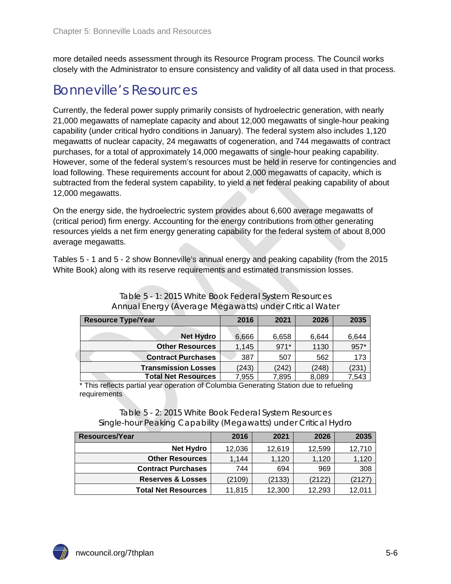more detailed needs assessment through its Resource Program process. The Council works closely with the Administrator to ensure consistency and validity of all data used in that process.

### <span id="page-5-0"></span>Bonneville's Resources

Currently, the federal power supply primarily consists of hydroelectric generation, with nearly 21,000 megawatts of nameplate capacity and about 12,000 megawatts of single-hour peaking capability (under critical hydro conditions in January). The federal system also includes 1,120 megawatts of nuclear capacity, 24 megawatts of cogeneration, and 744 megawatts of contract purchases, for a total of approximately 14,000 megawatts of single-hour peaking capability. However, some of the federal system's resources must be held in reserve for contingencies and load following. These requirements account for about 2,000 megawatts of capacity, which is subtracted from the federal system capability, to yield a net federal peaking capability of about 12,000 megawatts.

On the energy side, the hydroelectric system provides about 6,600 average megawatts of (critical period) firm energy. Accounting for the energy contributions from other generating resources yields a net firm energy generating capability for the federal system of about 8,000 average megawatts.

Tables 5 - 1 and 5 - 2 show Bonneville's annual energy and peaking capability (from the 2015 White Book) along with its reserve requirements and estimated transmission losses.

<span id="page-5-1"></span>

| <b>Resource Type/Year</b>  | 2016  | 2021   | 2026  | 2035  |
|----------------------------|-------|--------|-------|-------|
| <b>Net Hydro</b>           | 6,666 | 6,658  | 6,644 | 6,644 |
| <b>Other Resources</b>     | 1,145 | $971*$ | 1130  | 957*  |
| <b>Contract Purchases</b>  | 387   | 507    | 562   | 173   |
| <b>Transmission Losses</b> | (243) | (242)  | (248) | (231  |
| <b>Total Net Resources</b> | 7,955 | 7,895  | 8,089 | 7,543 |

| Table 5 - 1: 2015 White Book Federal System Resources  |
|--------------------------------------------------------|
| Annual Energy (Average Megawatts) under Critical Water |

\* This reflects partial year operation of Columbia Generating Station due to refueling requirements

#### Table 5 - 2: 2015 White Book Federal System Resources Single-hour Peaking Capability (Megawatts) under Critical Hydro

<span id="page-5-2"></span>

| Resources/Year             | 2016   | 2021   | 2026   | 2035   |
|----------------------------|--------|--------|--------|--------|
| <b>Net Hydro</b>           | 12,036 | 12,619 | 12,599 | 12,710 |
| <b>Other Resources</b>     | 1.144  | 1.120  | 1,120  | 1,120  |
| <b>Contract Purchases</b>  | 744    | 694    | 969    | 308    |
| Reserves & Losses          | (2109) | (2133) | (2122) | (2127) |
| <b>Total Net Resources</b> | 11,815 | 12,300 | 12,293 | 12.011 |

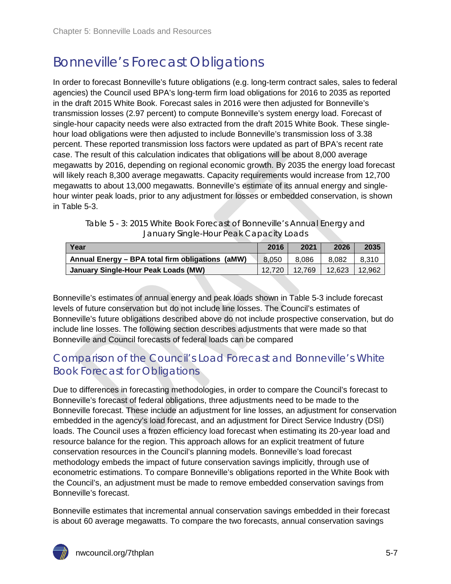## <span id="page-6-0"></span>Bonneville's Forecast Obligations

In order to forecast Bonneville's future obligations (e.g. long-term contract sales, sales to federal agencies) the Council used BPA's long-term firm load obligations for 2016 to 2035 as reported in the draft 2015 White Book. Forecast sales in 2016 were then adjusted for Bonneville's transmission losses (2.97 percent) to compute Bonneville's system energy load. Forecast of single-hour capacity needs were also extracted from the draft 2015 White Book. These singlehour load obligations were then adjusted to include Bonneville's transmission loss of 3.38 percent. These reported transmission loss factors were updated as part of BPA's recent rate case. The result of this calculation indicates that obligations will be about 8,000 average megawatts by 2016, depending on regional economic growth. By 2035 the energy load forecast will likely reach 8,300 average megawatts. Capacity requirements would increase from 12,700 megawatts to about 13,000 megawatts. Bonneville's estimate of its annual energy and singlehour winter peak loads, prior to any adjustment for losses or embedded conservation, is shown in Table 5-3.

| Table 5 - 3: 2015 White Book Forecast of Bonneville's Annual Energy and |
|-------------------------------------------------------------------------|
| January Single-Hour Peak Capacity Loads                                 |

<span id="page-6-2"></span>

| Year                                             | 2016   | 2021   | 2026   | 2035   |
|--------------------------------------------------|--------|--------|--------|--------|
| Annual Energy - BPA total firm obligations (aMW) | 8.050  | 8.086  | 8.082  | 8.310  |
| January Single-Hour Peak Loads (MW)              | 12.720 | 12.769 | 12.623 | 12.962 |

Bonneville's estimates of annual energy and peak loads shown in Table 5-3 include forecast levels of future conservation but do not include line losses. The Council's estimates of Bonneville's future obligations described above do not include prospective conservation, but do include line losses. The following section describes adjustments that were made so that Bonneville and Council forecasts of federal loads can be compared

### <span id="page-6-1"></span>Comparison of the Council's Load Forecast and Bonneville's White Book Forecast for Obligations

Due to differences in forecasting methodologies, in order to compare the Council's forecast to Bonneville's forecast of federal obligations, three adjustments need to be made to the Bonneville forecast. These include an adjustment for line losses, an adjustment for conservation embedded in the agency's load forecast, and an adjustment for Direct Service Industry (DSI) loads. The Council uses a frozen efficiency load forecast when estimating its 20-year load and resource balance for the region. This approach allows for an explicit treatment of future conservation resources in the Council's planning models. Bonneville's load forecast methodology embeds the impact of future conservation savings implicitly, through use of econometric estimations. To compare Bonneville's obligations reported in the White Book with the Council's, an adjustment must be made to remove embedded conservation savings from Bonneville's forecast.

Bonneville estimates that incremental annual conservation savings embedded in their forecast is about 60 average megawatts. To compare the two forecasts, annual conservation savings

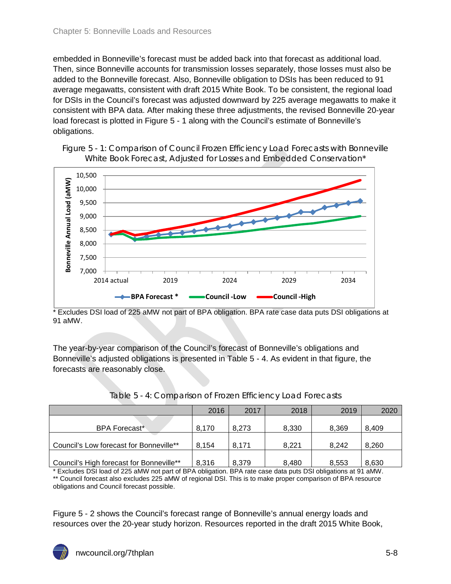embedded in Bonneville's forecast must be added back into that forecast as additional load. Then, since Bonneville accounts for transmission losses separately, those losses must also be added to the Bonneville forecast. Also, Bonneville obligation to DSIs has been reduced to 91 average megawatts, consistent with draft 2015 White Book. To be consistent, the regional load for DSIs in the Council's forecast was adjusted downward by 225 average megawatts to make it consistent with BPA data. After making these three adjustments, the revised Bonneville 20-year load forecast is plotted in Figure 5 - 1 along with the Council's estimate of Bonneville's obligations.

<span id="page-7-0"></span>



\* Excludes DSI load of 225 aMW not part of BPA obligation. BPA rate case data puts DSI obligations at 91 aMW.

The year-by-year comparison of the Council's forecast of Bonneville's obligations and Bonneville's adjusted obligations is presented in Table 5 - 4. As evident in that figure, the forecasts are reasonably close.

<span id="page-7-1"></span>

|                                          | 2016  | 2017  | 2018  | 2019  | 2020  |
|------------------------------------------|-------|-------|-------|-------|-------|
|                                          |       |       |       |       |       |
| <b>BPA Forecast*</b>                     | 8.170 | 8.273 | 8.330 | 8.369 | 8.409 |
|                                          |       |       |       |       |       |
| Council's Low forecast for Bonneville**  | 8.154 | 8.171 | 8.221 | 8.242 | 8,260 |
|                                          |       |       |       |       |       |
| Council's High forecast for Bonneville** | 8.316 | 8,379 | 8.480 | 8.553 | 8,630 |

#### Table 5 - 4: Comparison of Frozen Efficiency Load Forecasts

\* Excludes DSI load of 225 aMW not part of BPA obligation. BPA rate case data puts DSI obligations at 91 aMW. \*\* Council forecast also excludes 225 aMW of regional DSI. This is to make proper comparison of BPA resource obligations and Council forecast possible.

Figure 5 - 2 shows the Council's forecast range of Bonneville's annual energy loads and resources over the 20-year study horizon. Resources reported in the draft 2015 White Book,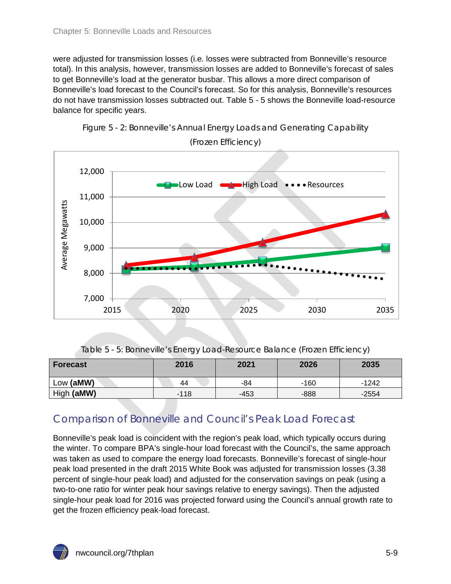were adjusted for transmission losses (i.e. losses were subtracted from Bonneville's resource total). In this analysis, however, transmission losses are added to Bonneville's forecast of sales to get Bonneville's load at the generator busbar. This allows a more direct comparison of Bonneville's load forecast to the Council's forecast. So for this analysis, Bonneville's resources do not have transmission losses subtracted out. Table 5 - 5 shows the Bonneville load-resource balance for specific years.

<span id="page-8-2"></span><span id="page-8-1"></span>



(Frozen Efficiency)

|  |  |  |  |  |  | Table 5 - 5: Bonneville's Energy Load-Resource Balance (Frozen Efficiency) |  |
|--|--|--|--|--|--|----------------------------------------------------------------------------|--|
|  |  |  |  |  |  |                                                                            |  |
|  |  |  |  |  |  |                                                                            |  |
|  |  |  |  |  |  |                                                                            |  |

<span id="page-8-3"></span>

| <b>Forecast</b> | 2016   |      | 2026   | 2035    |  |
|-----------------|--------|------|--------|---------|--|
| Low (aMW)       | 44     | -84  | $-160$ | $-1242$ |  |
| High (aMW)      | $-118$ | -453 | $-888$ | $-2554$ |  |

### <span id="page-8-0"></span>Comparison of Bonneville and Council's Peak Load Forecast

Bonneville's peak load is coincident with the region's peak load, which typically occurs during the winter. To compare BPA's single-hour load forecast with the Council's, the same approach was taken as used to compare the energy load forecasts. Bonneville's forecast of single-hour peak load presented in the draft 2015 White Book was adjusted for transmission losses (3.38 percent of single-hour peak load) and adjusted for the conservation savings on peak (using a two-to-one ratio for winter peak hour savings relative to energy savings). Then the adjusted single-hour peak load for 2016 was projected forward using the Council's annual growth rate to get the frozen efficiency peak-load forecast.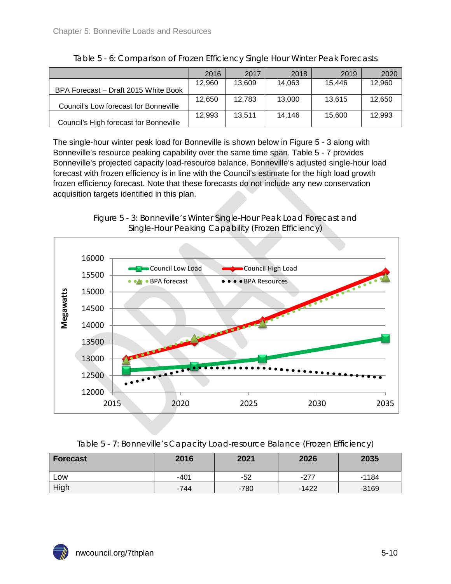<span id="page-9-0"></span>

|                                        | 2016   | 2017   | 2018   | 2019   | 2020   |
|----------------------------------------|--------|--------|--------|--------|--------|
|                                        | 12,960 | 13,609 | 14.063 | 15.446 | 12.960 |
| BPA Forecast - Draft 2015 White Book   |        |        |        |        |        |
|                                        | 12.650 | 12.783 | 13.000 | 13.615 | 12.650 |
| Council's Low forecast for Bonneville  |        |        |        |        |        |
|                                        | 12.993 | 13.511 | 14.146 | 15.600 | 12.993 |
| Council's High forecast for Bonneville |        |        |        |        |        |

| Table 5 - 6: Comparison of Frozen Efficiency Single Hour Winter Peak Forecasts |  |  |
|--------------------------------------------------------------------------------|--|--|
|                                                                                |  |  |
|                                                                                |  |  |
|                                                                                |  |  |

The single-hour winter peak load for Bonneville is shown below in Figure 5 - 3 along with Bonneville's resource peaking capability over the same time span. Table 5 - 7 provides Bonneville's projected capacity load-resource balance. Bonneville's adjusted single-hour load forecast with frozen efficiency is in line with the Council's estimate for the high load growth frozen efficiency forecast. Note that these forecasts do not include any new conservation acquisition targets identified in this plan.



<span id="page-9-1"></span>

| Table 5 - 7: Bonneville's Capacity Load-resource Balance (Frozen Efficiency) |  |  |
|------------------------------------------------------------------------------|--|--|
|                                                                              |  |  |

<span id="page-9-2"></span>

| Forecast | 2016   | 2021   | 2026    | 2035    |
|----------|--------|--------|---------|---------|
| LOW      | $-401$ | -52    | $-277$  | -1184   |
| High     | -744   | $-780$ | $-1422$ | $-3169$ |